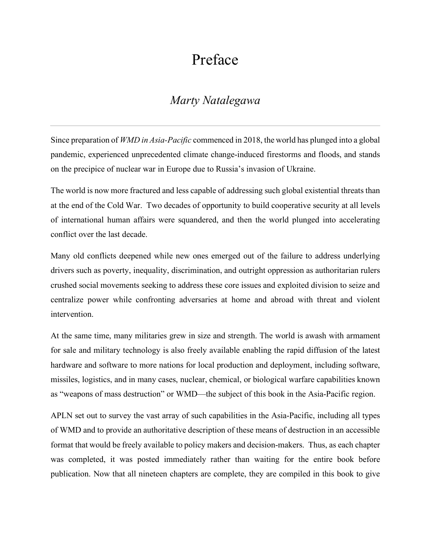## Preface

## *Marty Natalegawa*

Since preparation of *WMD in Asia-Pacific* commenced in 2018, the world has plunged into a global pandemic, experienced unprecedented climate change-induced firestorms and floods, and stands on the precipice of nuclear war in Europe due to Russia's invasion of Ukraine.

The world is now more fractured and less capable of addressing such global existential threats than at the end of the Cold War. Two decades of opportunity to build cooperative security at all levels of international human affairs were squandered, and then the world plunged into accelerating conflict over the last decade.

Many old conflicts deepened while new ones emerged out of the failure to address underlying drivers such as poverty, inequality, discrimination, and outright oppression as authoritarian rulers crushed social movements seeking to address these core issues and exploited division to seize and centralize power while confronting adversaries at home and abroad with threat and violent intervention.

At the same time, many militaries grew in size and strength. The world is awash with armament for sale and military technology is also freely available enabling the rapid diffusion of the latest hardware and software to more nations for local production and deployment, including software, missiles, logistics, and in many cases, nuclear, chemical, or biological warfare capabilities known as "weapons of mass destruction" or WMD—the subject of this book in the Asia-Pacific region.

APLN set out to survey the vast array of such capabilities in the Asia-Pacific, including all types of WMD and to provide an authoritative description of these means of destruction in an accessible format that would be freely available to policy makers and decision-makers. Thus, as each chapter was completed, it was posted immediately rather than waiting for the entire book before publication. Now that all nineteen chapters are complete, they are compiled in this book to give